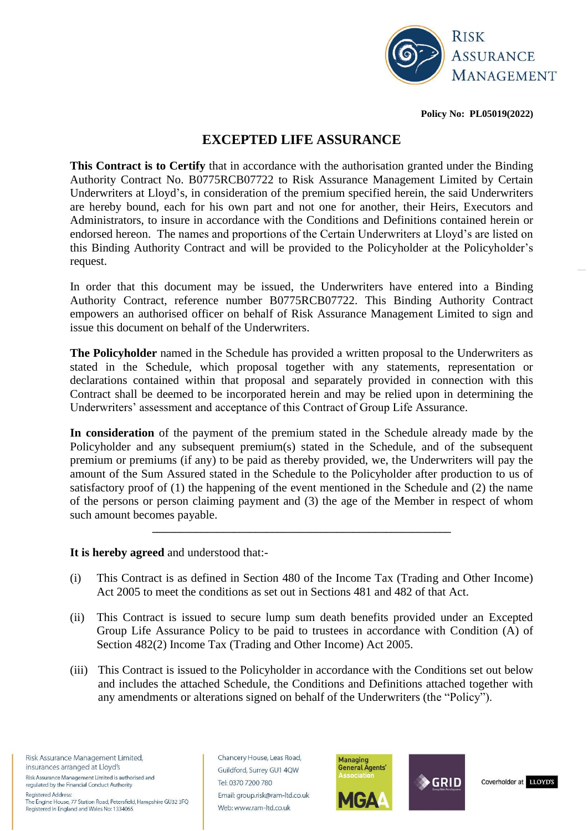

**Policy No: PL05019(2022)**

# **EXCEPTED LIFE ASSURANCE**

**This Contract is to Certify** that in accordance with the authorisation granted under the Binding Authority Contract No. B0775RCB07722 to Risk Assurance Management Limited by Certain Underwriters at Lloyd's, in consideration of the premium specified herein, the said Underwriters are hereby bound, each for his own part and not one for another, their Heirs, Executors and Administrators, to insure in accordance with the Conditions and Definitions contained herein or endorsed hereon. The names and proportions of the Certain Underwriters at Lloyd's are listed on this Binding Authority Contract and will be provided to the Policyholder at the Policyholder's request.

In order that this document may be issued, the Underwriters have entered into a Binding Authority Contract, reference number B0775RCB07722. This Binding Authority Contract empowers an authorised officer on behalf of Risk Assurance Management Limited to sign and issue this document on behalf of the Underwriters.

**The Policyholder** named in the Schedule has provided a written proposal to the Underwriters as stated in the Schedule, which proposal together with any statements, representation or declarations contained within that proposal and separately provided in connection with this Contract shall be deemed to be incorporated herein and may be relied upon in determining the Underwriters' assessment and acceptance of this Contract of Group Life Assurance.

**In consideration** of the payment of the premium stated in the Schedule already made by the Policyholder and any subsequent premium(s) stated in the Schedule, and of the subsequent premium or premiums (if any) to be paid as thereby provided, we, the Underwriters will pay the amount of the Sum Assured stated in the Schedule to the Policyholder after production to us of satisfactory proof of (1) the happening of the event mentioned in the Schedule and (2) the name of the persons or person claiming payment and (3) the age of the Member in respect of whom such amount becomes payable.

**\_\_\_\_\_\_\_\_\_\_\_\_\_\_\_\_\_\_\_\_\_\_\_\_\_\_\_\_\_\_\_\_\_\_\_\_\_\_\_\_\_\_\_\_\_\_\_\_\_\_\_\_\_\_\_**

#### **It is hereby agreed** and understood that:-

- (i) This Contract is as defined in Section 480 of the Income Tax (Trading and Other Income) Act 2005 to meet the conditions as set out in Sections 481 and 482 of that Act.
- (ii) This Contract is issued to secure lump sum death benefits provided under an Excepted Group Life Assurance Policy to be paid to trustees in accordance with Condition (A) of Section 482(2) Income Tax (Trading and Other Income) Act 2005.
- (iii) This Contract is issued to the Policyholder in accordance with the Conditions set out below and includes the attached Schedule, the Conditions and Definitions attached together with any amendments or alterations signed on behalf of the Underwriters (the "Policy").

Risk Assurance Management Limited, insurances arranged at Lloyd's

Risk Assurance Management Limited is authorised and regulated by the Financial Conduct Authority **Registered Address:** 

The Engine House, 77 Station Road, Petersfield, Hampshire GU32 3FQ Registered in England and Wales No: 1334065

Chancery House, Leas Road, Guildford, Surrey GU1 4QW Tel: 0370 7200 780 Email: group.risk@ram-ltd.co.uk Web: www.ram-ltd.co.uk





Coverholder at LLOYD'S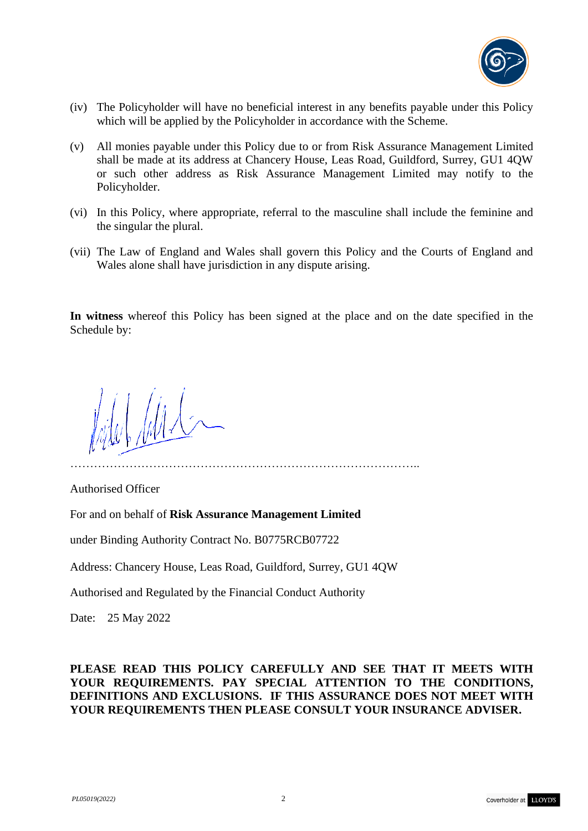

- (iv) The Policyholder will have no beneficial interest in any benefits payable under this Policy which will be applied by the Policyholder in accordance with the Scheme.
- (v) All monies payable under this Policy due to or from Risk Assurance Management Limited shall be made at its address at Chancery House, Leas Road, Guildford, Surrey, GU1 4QW or such other address as Risk Assurance Management Limited may notify to the Policyholder.
- (vi) In this Policy, where appropriate, referral to the masculine shall include the feminine and the singular the plural.
- (vii) The Law of England and Wales shall govern this Policy and the Courts of England and Wales alone shall have jurisdiction in any dispute arising.

**In witness** whereof this Policy has been signed at the place and on the date specified in the Schedule by:

……………………………………………………………………………..

MA

Authorised Officer

For and on behalf of **Risk Assurance Management Limited** 

under Binding Authority Contract No. B0775RCB07722

Address: Chancery House, Leas Road, Guildford, Surrey, GU1 4QW

Authorised and Regulated by the Financial Conduct Authority

Date: 25 May 2022

**PLEASE READ THIS POLICY CAREFULLY AND SEE THAT IT MEETS WITH YOUR REQUIREMENTS. PAY SPECIAL ATTENTION TO THE CONDITIONS, DEFINITIONS AND EXCLUSIONS. IF THIS ASSURANCE DOES NOT MEET WITH YOUR REQUIREMENTS THEN PLEASE CONSULT YOUR INSURANCE ADVISER.**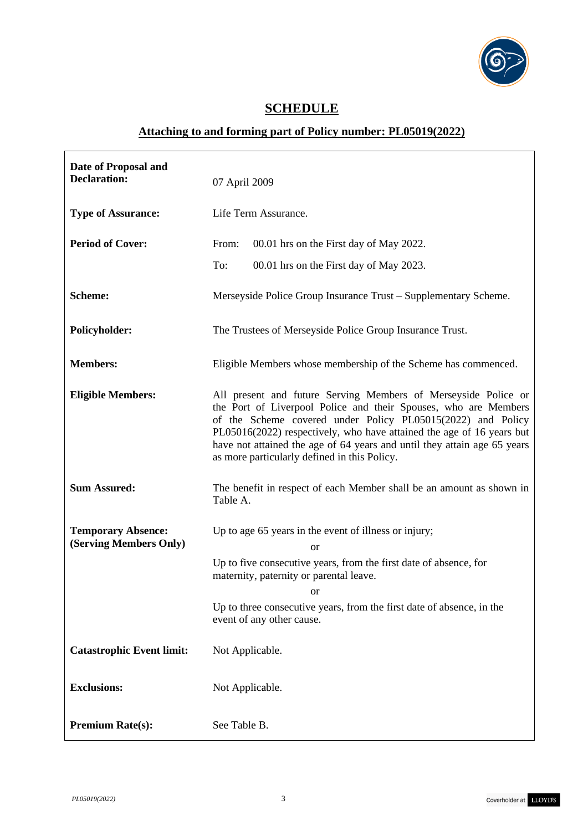

# **SCHEDULE**

# **Attaching to and forming part of Policy number: PL05019(2022)**

| Date of Proposal and<br><b>Declaration:</b>         | 07 April 2009                                                                                                                                                                                                                                                                                                                                                                                         |
|-----------------------------------------------------|-------------------------------------------------------------------------------------------------------------------------------------------------------------------------------------------------------------------------------------------------------------------------------------------------------------------------------------------------------------------------------------------------------|
| <b>Type of Assurance:</b>                           | Life Term Assurance.                                                                                                                                                                                                                                                                                                                                                                                  |
| <b>Period of Cover:</b>                             | From:<br>00.01 hrs on the First day of May 2022.                                                                                                                                                                                                                                                                                                                                                      |
|                                                     | To:<br>00.01 hrs on the First day of May 2023.                                                                                                                                                                                                                                                                                                                                                        |
| <b>Scheme:</b>                                      | Merseyside Police Group Insurance Trust – Supplementary Scheme.                                                                                                                                                                                                                                                                                                                                       |
| <b>Policyholder:</b>                                | The Trustees of Merseyside Police Group Insurance Trust.                                                                                                                                                                                                                                                                                                                                              |
| <b>Members:</b>                                     | Eligible Members whose membership of the Scheme has commenced.                                                                                                                                                                                                                                                                                                                                        |
| <b>Eligible Members:</b>                            | All present and future Serving Members of Merseyside Police or<br>the Port of Liverpool Police and their Spouses, who are Members<br>of the Scheme covered under Policy PL05015(2022) and Policy<br>PL05016(2022) respectively, who have attained the age of 16 years but<br>have not attained the age of 64 years and until they attain age 65 years<br>as more particularly defined in this Policy. |
| <b>Sum Assured:</b>                                 | The benefit in respect of each Member shall be an amount as shown in<br>Table A.                                                                                                                                                                                                                                                                                                                      |
| <b>Temporary Absence:</b><br>(Serving Members Only) | Up to age 65 years in the event of illness or injury;<br><sub>or</sub><br>Up to five consecutive years, from the first date of absence, for<br>maternity, paternity or parental leave.<br>OI<br>Up to three consecutive years, from the first date of absence, in the<br>event of any other cause.                                                                                                    |
| <b>Catastrophic Event limit:</b>                    | Not Applicable.                                                                                                                                                                                                                                                                                                                                                                                       |
| <b>Exclusions:</b>                                  | Not Applicable.                                                                                                                                                                                                                                                                                                                                                                                       |
| <b>Premium Rate(s):</b>                             | See Table B.                                                                                                                                                                                                                                                                                                                                                                                          |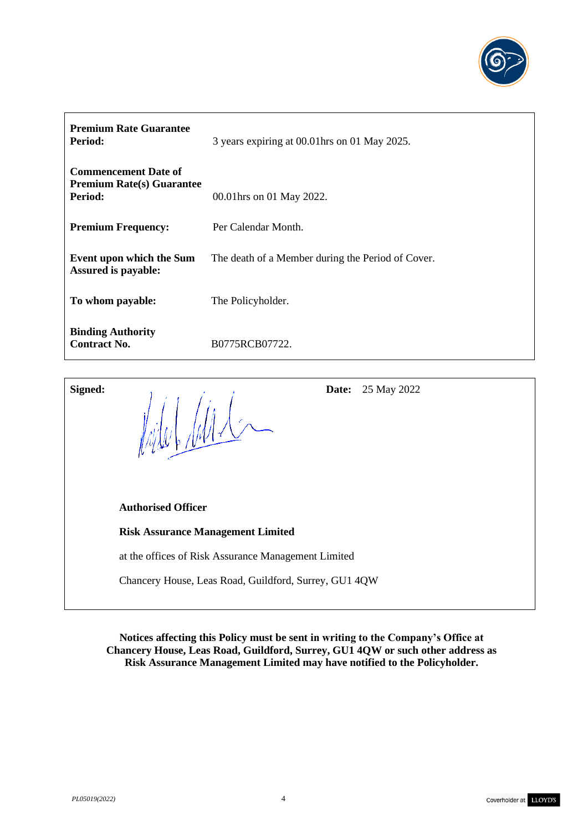

| <b>Premium Rate Guarantee</b><br>Period:                                   | 3 years expiring at 00.01 hrs on 01 May 2025.     |
|----------------------------------------------------------------------------|---------------------------------------------------|
| <b>Commencement Date of</b><br><b>Premium Rate(s) Guarantee</b><br>Period: | 00.01 hrs on 01 May 2022.                         |
| <b>Premium Frequency:</b>                                                  | Per Calendar Month.                               |
| Event upon which the Sum<br><b>Assured is payable:</b>                     | The death of a Member during the Period of Cover. |
| To whom payable:                                                           | The Policyholder.                                 |
| <b>Binding Authority</b><br><b>Contract No.</b>                            | B0775RCB07722.                                    |

| Signed: | 25 May 2022<br>Date:<br>$\mathbb{Z}/\mathbb{Z}/\mathbb{Z}/\mathbb{Z}/\mathbb{Z}/\mathbb{Z}/\mathbb{Z}/\mathbb{Z}/\mathbb{Z}/\mathbb{Z}/\mathbb{Z}/\mathbb{Z}/\mathbb{Z}/\mathbb{Z}/\mathbb{Z}/\mathbb{Z}/\mathbb{Z}/\mathbb{Z}/\mathbb{Z}/\mathbb{Z}/\mathbb{Z}/\mathbb{Z}/\mathbb{Z}/\mathbb{Z}/\mathbb{Z}/\mathbb{Z}/\mathbb{Z}/\mathbb{Z}/\mathbb{Z}/\mathbb{Z}/\mathbb{Z}/\mathbb{Z}/\mathbb{Z}/\mathbb{Z}/\mathbb{Z}/\mathbb{Z}/\mathbb{$ |
|---------|------------------------------------------------------------------------------------------------------------------------------------------------------------------------------------------------------------------------------------------------------------------------------------------------------------------------------------------------------------------------------------------------------------------------------------------------|
|         | <b>Authorised Officer</b>                                                                                                                                                                                                                                                                                                                                                                                                                      |
|         | <b>Risk Assurance Management Limited</b>                                                                                                                                                                                                                                                                                                                                                                                                       |
|         | at the offices of Risk Assurance Management Limited                                                                                                                                                                                                                                                                                                                                                                                            |
|         | Chancery House, Leas Road, Guildford, Surrey, GU1 4QW                                                                                                                                                                                                                                                                                                                                                                                          |

**Notices affecting this Policy must be sent in writing to the Company's Office at Chancery House, Leas Road, Guildford, Surrey, GU1 4QW or such other address as Risk Assurance Management Limited may have notified to the Policyholder.**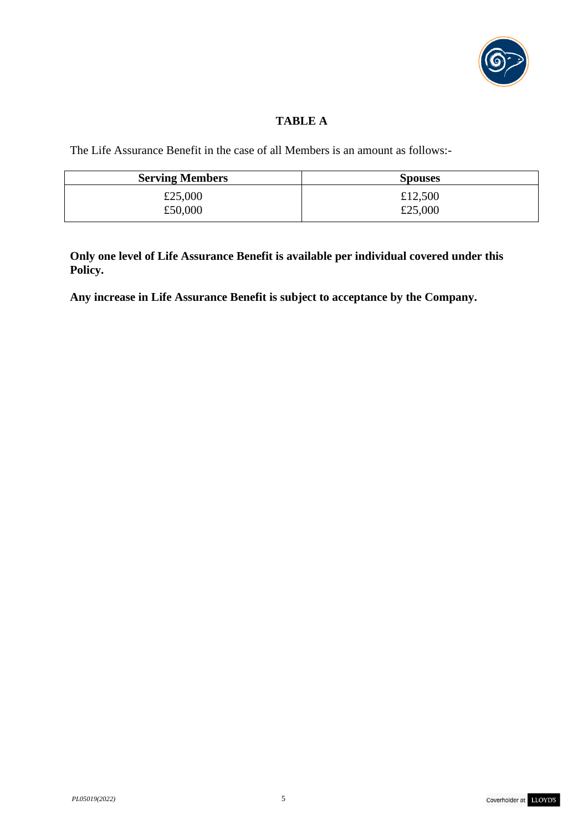

# **TABLE A**

The Life Assurance Benefit in the case of all Members is an amount as follows:-

| <b>Serving Members</b> | <b>Spouses</b> |
|------------------------|----------------|
| £25,000                | £12,500        |
| £50,000                | £25,000        |

**Only one level of Life Assurance Benefit is available per individual covered under this Policy.**

**Any increase in Life Assurance Benefit is subject to acceptance by the Company.**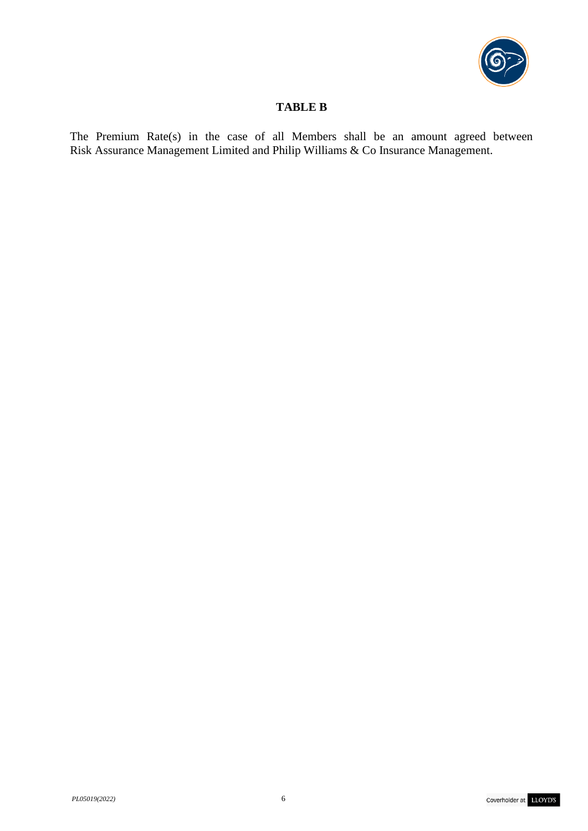

# **TABLE B**

The Premium Rate(s) in the case of all Members shall be an amount agreed between Risk Assurance Management Limited and Philip Williams & Co Insurance Management.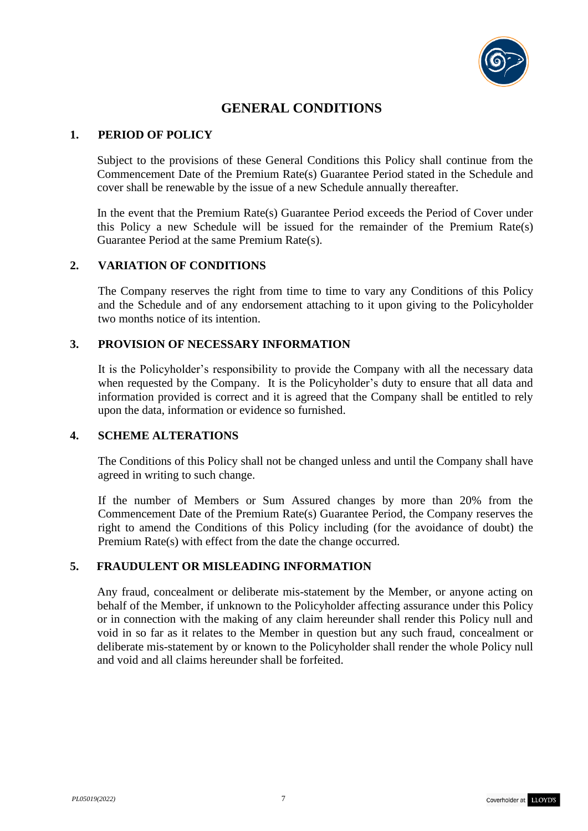

# **GENERAL CONDITIONS**

### **1. PERIOD OF POLICY**

Subject to the provisions of these General Conditions this Policy shall continue from the Commencement Date of the Premium Rate(s) Guarantee Period stated in the Schedule and cover shall be renewable by the issue of a new Schedule annually thereafter.

In the event that the Premium Rate(s) Guarantee Period exceeds the Period of Cover under this Policy a new Schedule will be issued for the remainder of the Premium Rate(s) Guarantee Period at the same Premium Rate(s).

### **2. VARIATION OF CONDITIONS**

The Company reserves the right from time to time to vary any Conditions of this Policy and the Schedule and of any endorsement attaching to it upon giving to the Policyholder two months notice of its intention.

### **3. PROVISION OF NECESSARY INFORMATION**

It is the Policyholder's responsibility to provide the Company with all the necessary data when requested by the Company. It is the Policyholder's duty to ensure that all data and information provided is correct and it is agreed that the Company shall be entitled to rely upon the data, information or evidence so furnished.

### **4. SCHEME ALTERATIONS**

The Conditions of this Policy shall not be changed unless and until the Company shall have agreed in writing to such change.

If the number of Members or Sum Assured changes by more than 20% from the Commencement Date of the Premium Rate(s) Guarantee Period, the Company reserves the right to amend the Conditions of this Policy including (for the avoidance of doubt) the Premium Rate(s) with effect from the date the change occurred.

### **5. FRAUDULENT OR MISLEADING INFORMATION**

Any fraud, concealment or deliberate mis-statement by the Member, or anyone acting on behalf of the Member, if unknown to the Policyholder affecting assurance under this Policy or in connection with the making of any claim hereunder shall render this Policy null and void in so far as it relates to the Member in question but any such fraud, concealment or deliberate mis-statement by or known to the Policyholder shall render the whole Policy null and void and all claims hereunder shall be forfeited.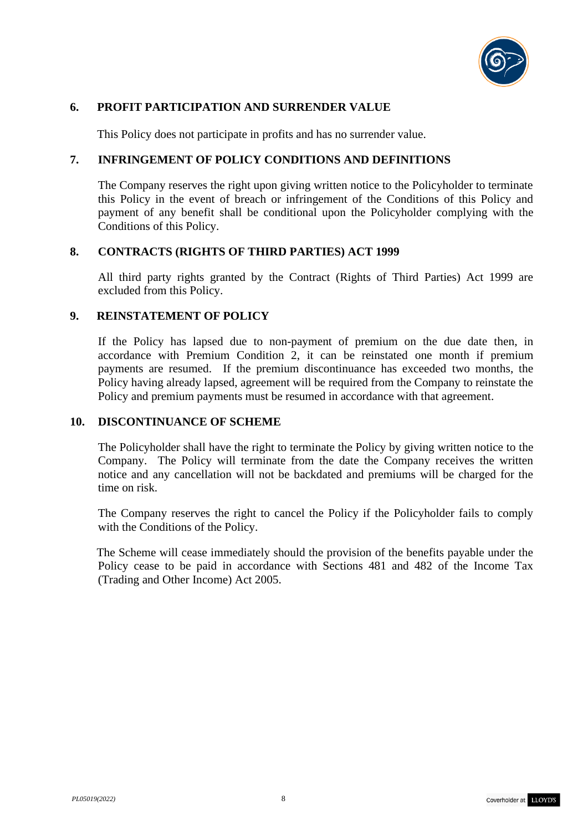

### **6. PROFIT PARTICIPATION AND SURRENDER VALUE**

This Policy does not participate in profits and has no surrender value.

#### **7. INFRINGEMENT OF POLICY CONDITIONS AND DEFINITIONS**

The Company reserves the right upon giving written notice to the Policyholder to terminate this Policy in the event of breach or infringement of the Conditions of this Policy and payment of any benefit shall be conditional upon the Policyholder complying with the Conditions of this Policy.

#### **8. CONTRACTS (RIGHTS OF THIRD PARTIES) ACT 1999**

All third party rights granted by the Contract (Rights of Third Parties) Act 1999 are excluded from this Policy.

#### **9. REINSTATEMENT OF POLICY**

If the Policy has lapsed due to non-payment of premium on the due date then, in accordance with Premium Condition 2, it can be reinstated one month if premium payments are resumed. If the premium discontinuance has exceeded two months, the Policy having already lapsed, agreement will be required from the Company to reinstate the Policy and premium payments must be resumed in accordance with that agreement.

#### **10. DISCONTINUANCE OF SCHEME**

The Policyholder shall have the right to terminate the Policy by giving written notice to the Company. The Policy will terminate from the date the Company receives the written notice and any cancellation will not be backdated and premiums will be charged for the time on risk.

The Company reserves the right to cancel the Policy if the Policyholder fails to comply with the Conditions of the Policy.

The Scheme will cease immediately should the provision of the benefits payable under the Policy cease to be paid in accordance with Sections 481 and 482 of the Income Tax (Trading and Other Income) Act 2005.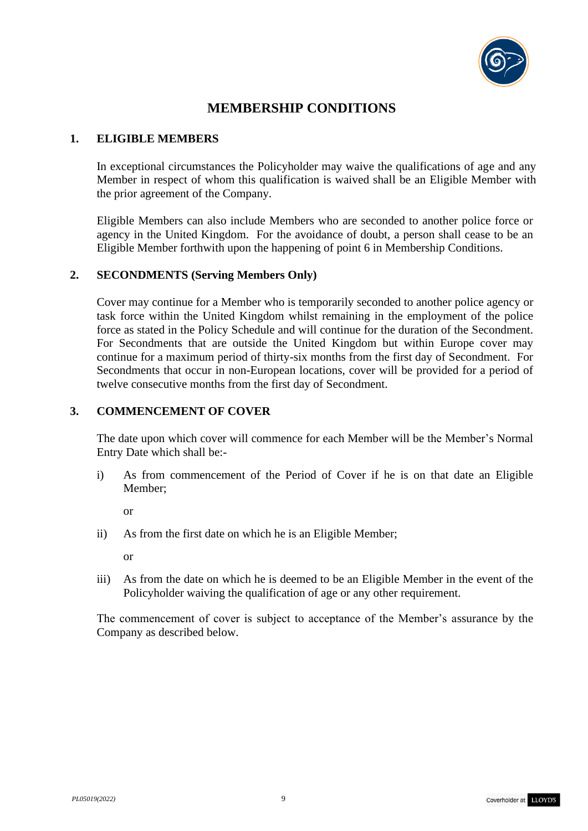

# **MEMBERSHIP CONDITIONS**

### **1. ELIGIBLE MEMBERS**

In exceptional circumstances the Policyholder may waive the qualifications of age and any Member in respect of whom this qualification is waived shall be an Eligible Member with the prior agreement of the Company.

Eligible Members can also include Members who are seconded to another police force or agency in the United Kingdom. For the avoidance of doubt, a person shall cease to be an Eligible Member forthwith upon the happening of point 6 in Membership Conditions.

### **2. SECONDMENTS (Serving Members Only)**

Cover may continue for a Member who is temporarily seconded to another police agency or task force within the United Kingdom whilst remaining in the employment of the police force as stated in the Policy Schedule and will continue for the duration of the Secondment. For Secondments that are outside the United Kingdom but within Europe cover may continue for a maximum period of thirty-six months from the first day of Secondment. For Secondments that occur in non-European locations, cover will be provided for a period of twelve consecutive months from the first day of Secondment.

# **3. COMMENCEMENT OF COVER**

The date upon which cover will commence for each Member will be the Member's Normal Entry Date which shall be:-

i) As from commencement of the Period of Cover if he is on that date an Eligible Member;

or

ii) As from the first date on which he is an Eligible Member;

or

iii) As from the date on which he is deemed to be an Eligible Member in the event of the Policyholder waiving the qualification of age or any other requirement.

The commencement of cover is subject to acceptance of the Member's assurance by the Company as described below.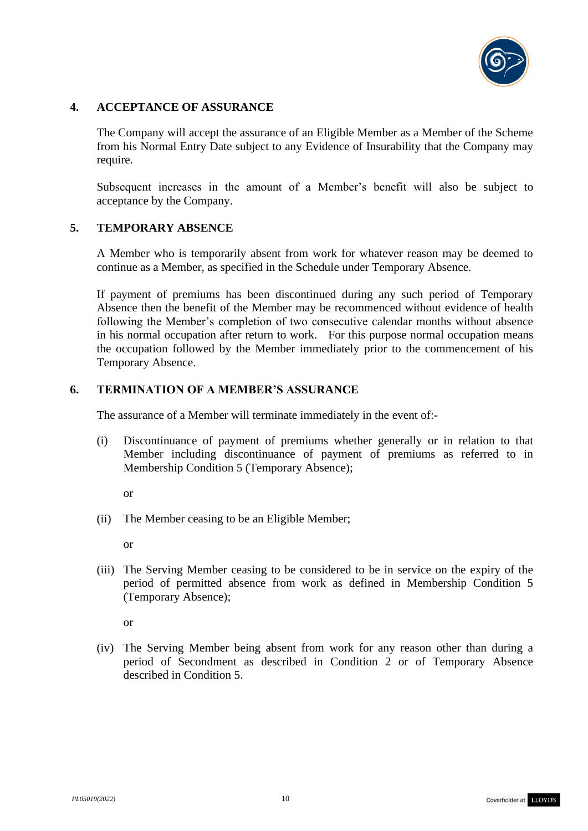

### **4. ACCEPTANCE OF ASSURANCE**

The Company will accept the assurance of an Eligible Member as a Member of the Scheme from his Normal Entry Date subject to any Evidence of Insurability that the Company may require.

Subsequent increases in the amount of a Member's benefit will also be subject to acceptance by the Company.

### **5. TEMPORARY ABSENCE**

A Member who is temporarily absent from work for whatever reason may be deemed to continue as a Member, as specified in the Schedule under Temporary Absence.

If payment of premiums has been discontinued during any such period of Temporary Absence then the benefit of the Member may be recommenced without evidence of health following the Member's completion of two consecutive calendar months without absence in his normal occupation after return to work. For this purpose normal occupation means the occupation followed by the Member immediately prior to the commencement of his Temporary Absence.

### **6. TERMINATION OF A MEMBER'S ASSURANCE**

The assurance of a Member will terminate immediately in the event of:-

- (i) Discontinuance of payment of premiums whether generally or in relation to that Member including discontinuance of payment of premiums as referred to in Membership Condition 5 (Temporary Absence);
	- or
- (ii) The Member ceasing to be an Eligible Member;

or

(iii) The Serving Member ceasing to be considered to be in service on the expiry of the period of permitted absence from work as defined in Membership Condition 5 (Temporary Absence);

or

(iv) The Serving Member being absent from work for any reason other than during a period of Secondment as described in Condition 2 or of Temporary Absence described in Condition 5.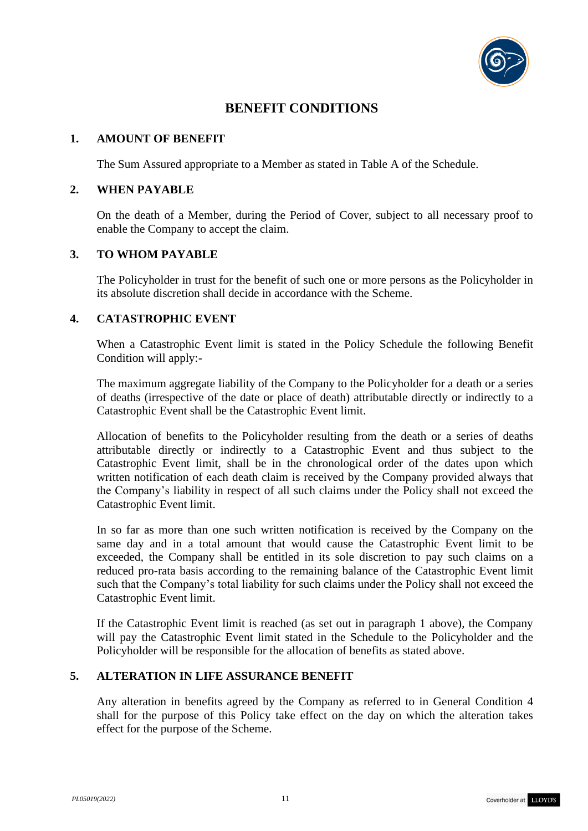

# **BENEFIT CONDITIONS**

### **1. AMOUNT OF BENEFIT**

The Sum Assured appropriate to a Member as stated in Table A of the Schedule.

### **2. WHEN PAYABLE**

On the death of a Member, during the Period of Cover, subject to all necessary proof to enable the Company to accept the claim.

# **3. TO WHOM PAYABLE**

The Policyholder in trust for the benefit of such one or more persons as the Policyholder in its absolute discretion shall decide in accordance with the Scheme.

### **4. CATASTROPHIC EVENT**

When a Catastrophic Event limit is stated in the Policy Schedule the following Benefit Condition will apply:-

The maximum aggregate liability of the Company to the Policyholder for a death or a series of deaths (irrespective of the date or place of death) attributable directly or indirectly to a Catastrophic Event shall be the Catastrophic Event limit.

Allocation of benefits to the Policyholder resulting from the death or a series of deaths attributable directly or indirectly to a Catastrophic Event and thus subject to the Catastrophic Event limit, shall be in the chronological order of the dates upon which written notification of each death claim is received by the Company provided always that the Company's liability in respect of all such claims under the Policy shall not exceed the Catastrophic Event limit.

In so far as more than one such written notification is received by the Company on the same day and in a total amount that would cause the Catastrophic Event limit to be exceeded, the Company shall be entitled in its sole discretion to pay such claims on a reduced pro-rata basis according to the remaining balance of the Catastrophic Event limit such that the Company's total liability for such claims under the Policy shall not exceed the Catastrophic Event limit.

If the Catastrophic Event limit is reached (as set out in paragraph 1 above), the Company will pay the Catastrophic Event limit stated in the Schedule to the Policyholder and the Policyholder will be responsible for the allocation of benefits as stated above.

# **5. ALTERATION IN LIFE ASSURANCE BENEFIT**

Any alteration in benefits agreed by the Company as referred to in General Condition 4 shall for the purpose of this Policy take effect on the day on which the alteration takes effect for the purpose of the Scheme.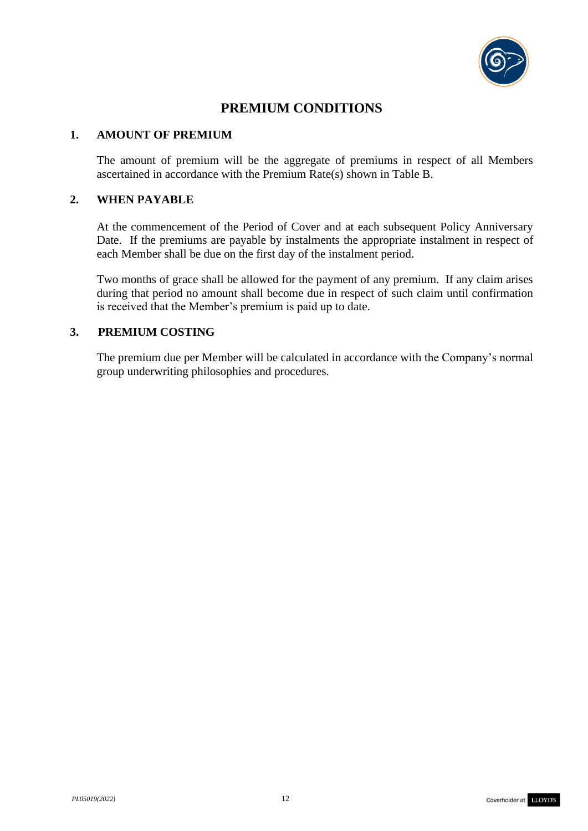

# **PREMIUM CONDITIONS**

### **1. AMOUNT OF PREMIUM**

The amount of premium will be the aggregate of premiums in respect of all Members ascertained in accordance with the Premium Rate(s) shown in Table B.

### **2. WHEN PAYABLE**

At the commencement of the Period of Cover and at each subsequent Policy Anniversary Date. If the premiums are payable by instalments the appropriate instalment in respect of each Member shall be due on the first day of the instalment period.

Two months of grace shall be allowed for the payment of any premium. If any claim arises during that period no amount shall become due in respect of such claim until confirmation is received that the Member's premium is paid up to date.

# **3. PREMIUM COSTING**

The premium due per Member will be calculated in accordance with the Company's normal group underwriting philosophies and procedures.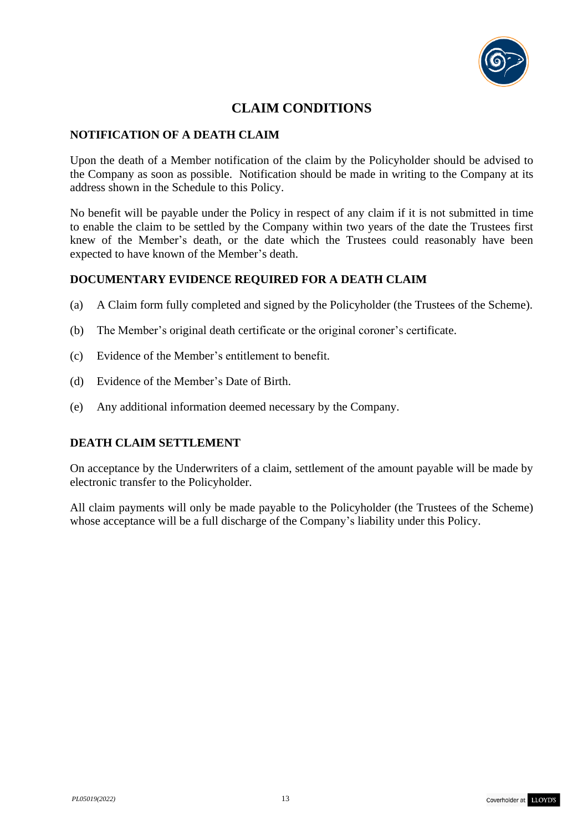

# **CLAIM CONDITIONS**

# **NOTIFICATION OF A DEATH CLAIM**

Upon the death of a Member notification of the claim by the Policyholder should be advised to the Company as soon as possible. Notification should be made in writing to the Company at its address shown in the Schedule to this Policy.

No benefit will be payable under the Policy in respect of any claim if it is not submitted in time to enable the claim to be settled by the Company within two years of the date the Trustees first knew of the Member's death, or the date which the Trustees could reasonably have been expected to have known of the Member's death.

### **DOCUMENTARY EVIDENCE REQUIRED FOR A DEATH CLAIM**

- (a) A Claim form fully completed and signed by the Policyholder (the Trustees of the Scheme).
- (b) The Member's original death certificate or the original coroner's certificate.
- (c) Evidence of the Member's entitlement to benefit.
- (d) Evidence of the Member's Date of Birth.
- (e) Any additional information deemed necessary by the Company.

### **DEATH CLAIM SETTLEMENT**

On acceptance by the Underwriters of a claim, settlement of the amount payable will be made by electronic transfer to the Policyholder.

All claim payments will only be made payable to the Policyholder (the Trustees of the Scheme) whose acceptance will be a full discharge of the Company's liability under this Policy.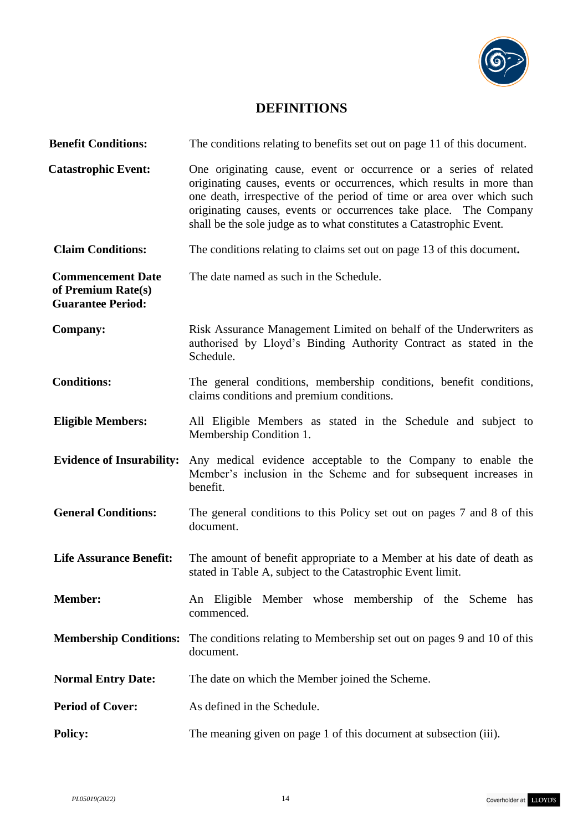

# **DEFINITIONS**

| <b>Benefit Conditions:</b>                                                 | The conditions relating to benefits set out on page 11 of this document.                                                                                                                                                                                                                                                                                         |
|----------------------------------------------------------------------------|------------------------------------------------------------------------------------------------------------------------------------------------------------------------------------------------------------------------------------------------------------------------------------------------------------------------------------------------------------------|
| <b>Catastrophic Event:</b>                                                 | One originating cause, event or occurrence or a series of related<br>originating causes, events or occurrences, which results in more than<br>one death, irrespective of the period of time or area over which such<br>originating causes, events or occurrences take place. The Company<br>shall be the sole judge as to what constitutes a Catastrophic Event. |
| <b>Claim Conditions:</b>                                                   | The conditions relating to claims set out on page 13 of this document.                                                                                                                                                                                                                                                                                           |
| <b>Commencement Date</b><br>of Premium Rate(s)<br><b>Guarantee Period:</b> | The date named as such in the Schedule.                                                                                                                                                                                                                                                                                                                          |
| <b>Company:</b>                                                            | Risk Assurance Management Limited on behalf of the Underwriters as<br>authorised by Lloyd's Binding Authority Contract as stated in the<br>Schedule.                                                                                                                                                                                                             |
| <b>Conditions:</b>                                                         | The general conditions, membership conditions, benefit conditions,<br>claims conditions and premium conditions.                                                                                                                                                                                                                                                  |
| <b>Eligible Members:</b>                                                   | All Eligible Members as stated in the Schedule and subject to<br>Membership Condition 1.                                                                                                                                                                                                                                                                         |
| <b>Evidence of Insurability:</b>                                           | Any medical evidence acceptable to the Company to enable the<br>Member's inclusion in the Scheme and for subsequent increases in<br>benefit.                                                                                                                                                                                                                     |
| <b>General Conditions:</b>                                                 | The general conditions to this Policy set out on pages 7 and 8 of this<br>document.                                                                                                                                                                                                                                                                              |
| <b>Life Assurance Benefit:</b>                                             | The amount of benefit appropriate to a Member at his date of death as<br>stated in Table A, subject to the Catastrophic Event limit.                                                                                                                                                                                                                             |
| <b>Member:</b>                                                             | An Eligible Member whose membership of the Scheme<br>has<br>commenced.                                                                                                                                                                                                                                                                                           |
| <b>Membership Conditions:</b>                                              | The conditions relating to Membership set out on pages 9 and 10 of this<br>document.                                                                                                                                                                                                                                                                             |
| <b>Normal Entry Date:</b>                                                  | The date on which the Member joined the Scheme.                                                                                                                                                                                                                                                                                                                  |
| <b>Period of Cover:</b>                                                    | As defined in the Schedule.                                                                                                                                                                                                                                                                                                                                      |
| <b>Policy:</b>                                                             | The meaning given on page 1 of this document at subsection (iii).                                                                                                                                                                                                                                                                                                |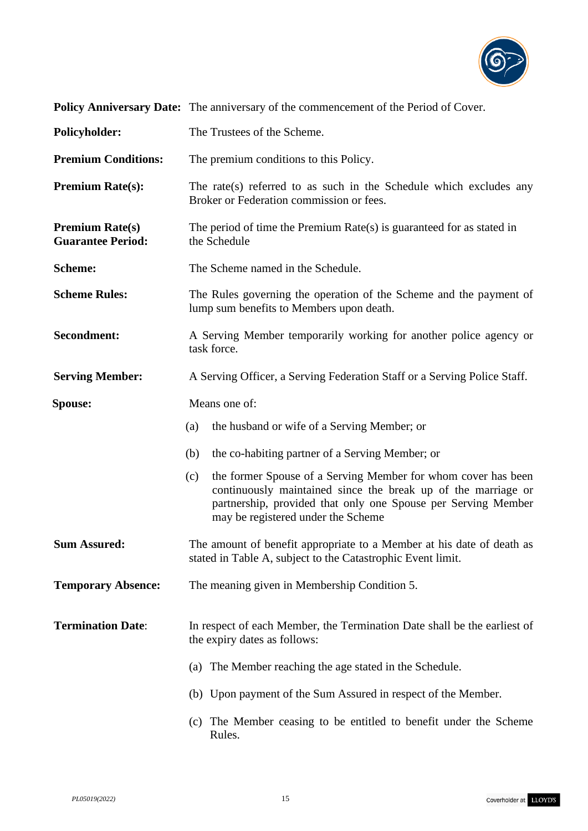

|                                                    | Policy Anniversary Date: The anniversary of the commencement of the Period of Cover.                                                                                                                                                         |
|----------------------------------------------------|----------------------------------------------------------------------------------------------------------------------------------------------------------------------------------------------------------------------------------------------|
| <b>Policyholder:</b>                               | The Trustees of the Scheme.                                                                                                                                                                                                                  |
| <b>Premium Conditions:</b>                         | The premium conditions to this Policy.                                                                                                                                                                                                       |
| <b>Premium Rate(s):</b>                            | The rate(s) referred to as such in the Schedule which excludes any<br>Broker or Federation commission or fees.                                                                                                                               |
| <b>Premium Rate(s)</b><br><b>Guarantee Period:</b> | The period of time the Premium $Rate(s)$ is guaranteed for as stated in<br>the Schedule                                                                                                                                                      |
| <b>Scheme:</b>                                     | The Scheme named in the Schedule.                                                                                                                                                                                                            |
| <b>Scheme Rules:</b>                               | The Rules governing the operation of the Scheme and the payment of<br>lump sum benefits to Members upon death.                                                                                                                               |
| Secondment:                                        | A Serving Member temporarily working for another police agency or<br>task force.                                                                                                                                                             |
| <b>Serving Member:</b>                             | A Serving Officer, a Serving Federation Staff or a Serving Police Staff.                                                                                                                                                                     |
| <b>Spouse:</b>                                     | Means one of:                                                                                                                                                                                                                                |
|                                                    | the husband or wife of a Serving Member; or<br>(a)                                                                                                                                                                                           |
|                                                    | the co-habiting partner of a Serving Member; or<br>(b)                                                                                                                                                                                       |
|                                                    | the former Spouse of a Serving Member for whom cover has been<br>(c)<br>continuously maintained since the break up of the marriage or<br>partnership, provided that only one Spouse per Serving Member<br>may be registered under the Scheme |
| <b>Sum Assured:</b>                                | The amount of benefit appropriate to a Member at his date of death as<br>stated in Table A, subject to the Catastrophic Event limit.                                                                                                         |
| <b>Temporary Absence:</b>                          | The meaning given in Membership Condition 5.                                                                                                                                                                                                 |
| <b>Termination Date:</b>                           | In respect of each Member, the Termination Date shall be the earliest of<br>the expiry dates as follows:                                                                                                                                     |
|                                                    | (a) The Member reaching the age stated in the Schedule.                                                                                                                                                                                      |
|                                                    | (b) Upon payment of the Sum Assured in respect of the Member.                                                                                                                                                                                |
|                                                    | (c) The Member ceasing to be entitled to benefit under the Scheme<br>Rules.                                                                                                                                                                  |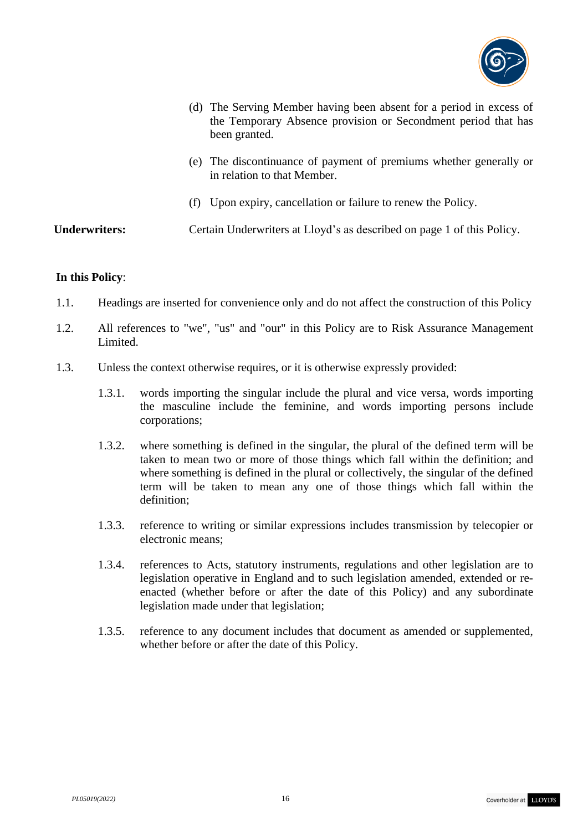

| (d) The Serving Member having been absent for a period in excess of<br>the Temporary Absence provision or Secondment period that has<br>been granted. |
|-------------------------------------------------------------------------------------------------------------------------------------------------------|
| (e) The discontinuance of payment of premiums whether generally or<br>in relation to that Member.                                                     |

(f) Upon expiry, cancellation or failure to renew the Policy.

**Underwriters:** Certain Underwriters at Lloyd's as described on page 1 of this Policy.

#### **In this Policy**:

- 1.1. Headings are inserted for convenience only and do not affect the construction of this Policy
- 1.2. All references to "we", "us" and "our" in this Policy are to Risk Assurance Management Limited.
- 1.3. Unless the context otherwise requires, or it is otherwise expressly provided:
	- 1.3.1. words importing the singular include the plural and vice versa, words importing the masculine include the feminine, and words importing persons include corporations;
	- 1.3.2. where something is defined in the singular, the plural of the defined term will be taken to mean two or more of those things which fall within the definition; and where something is defined in the plural or collectively, the singular of the defined term will be taken to mean any one of those things which fall within the definition;
	- 1.3.3. reference to writing or similar expressions includes transmission by telecopier or electronic means;
	- 1.3.4. references to Acts, statutory instruments, regulations and other legislation are to legislation operative in England and to such legislation amended, extended or reenacted (whether before or after the date of this Policy) and any subordinate legislation made under that legislation;
	- 1.3.5. reference to any document includes that document as amended or supplemented, whether before or after the date of this Policy.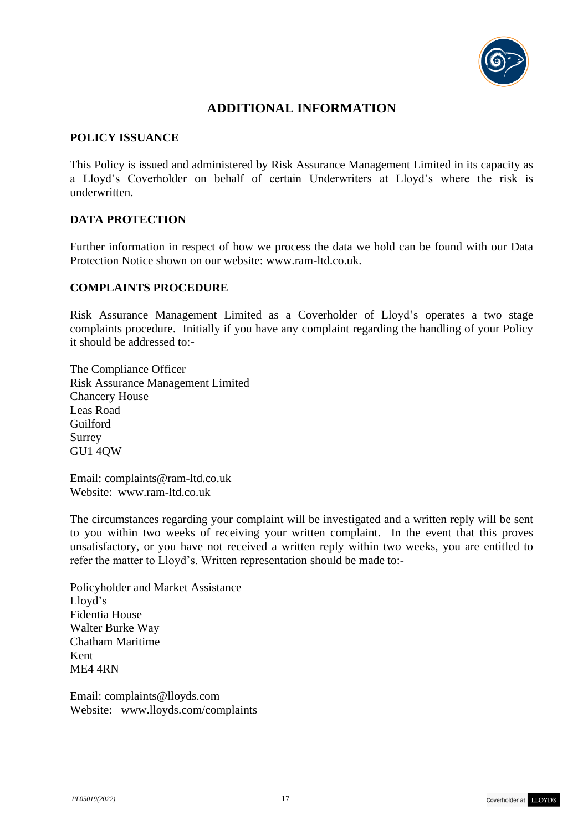

# **ADDITIONAL INFORMATION**

### **POLICY ISSUANCE**

This Policy is issued and administered by Risk Assurance Management Limited in its capacity as a Lloyd's Coverholder on behalf of certain Underwriters at Lloyd's where the risk is underwritten.

# **DATA PROTECTION**

Further information in respect of how we process the data we hold can be found with our Data Protection Notice shown on our website: www.ram-ltd.co.uk.

### **COMPLAINTS PROCEDURE**

Risk Assurance Management Limited as a Coverholder of Lloyd's operates a two stage complaints procedure. Initially if you have any complaint regarding the handling of your Policy it should be addressed to:-

The Compliance Officer Risk Assurance Management Limited Chancery House Leas Road Guilford Surrey GU1 4QW

Email: [complaints@ram-ltd.co.uk](mailto:complaints@ram-ltd.co.uk) Website: www.ram-ltd.co.uk

The circumstances regarding your complaint will be investigated and a written reply will be sent to you within two weeks of receiving your written complaint. In the event that this proves unsatisfactory, or you have not received a written reply within two weeks, you are entitled to refer the matter to Lloyd's. Written representation should be made to:-

Policyholder and Market Assistance Lloyd's Fidentia House Walter Burke Way Chatham Maritime Kent ME4 4RN

Email: [complaints@lloyds.com](mailto:complaints@lloyds.com) Website: [www.lloyds.com/complaints](http://www.lloyds.com/complaints)